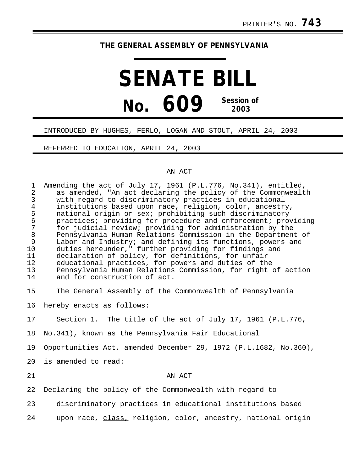## **THE GENERAL ASSEMBLY OF PENNSYLVANIA**

## **SENATE BILL No. 609 Session of 2003**

## INTRODUCED BY HUGHES, FERLO, LOGAN AND STOUT, APRIL 24, 2003

REFERRED TO EDUCATION, APRIL 24, 2003

## AN ACT

| $\mathbf{1}$<br>$\overline{2}$<br>3<br>$\overline{4}$<br>5<br>б<br>$\overline{7}$<br>$\,8\,$<br>9<br>10<br>11<br>12<br>13<br>14 | Amending the act of July 17, 1961 (P.L.776, No.341), entitled,<br>as amended, "An act declaring the policy of the Commonwealth<br>with regard to discriminatory practices in educational<br>institutions based upon race, religion, color, ancestry,<br>national origin or sex; prohibiting such discriminatory<br>practices; providing for procedure and enforcement; providing<br>for judicial review; providing for administration by the<br>Pennsylvania Human Relations Commission in the Department of<br>Labor and Industry; and defining its functions, powers and<br>duties hereunder," further providing for findings and<br>declaration of policy, for definitions, for unfair<br>educational practices, for powers and duties of the<br>Pennsylvania Human Relations Commission, for right of action<br>and for construction of act. |
|---------------------------------------------------------------------------------------------------------------------------------|--------------------------------------------------------------------------------------------------------------------------------------------------------------------------------------------------------------------------------------------------------------------------------------------------------------------------------------------------------------------------------------------------------------------------------------------------------------------------------------------------------------------------------------------------------------------------------------------------------------------------------------------------------------------------------------------------------------------------------------------------------------------------------------------------------------------------------------------------|
| 15                                                                                                                              | The General Assembly of the Commonwealth of Pennsylvania                                                                                                                                                                                                                                                                                                                                                                                                                                                                                                                                                                                                                                                                                                                                                                                         |
| 16                                                                                                                              | hereby enacts as follows:                                                                                                                                                                                                                                                                                                                                                                                                                                                                                                                                                                                                                                                                                                                                                                                                                        |
| 17                                                                                                                              | Section 1. The title of the act of July 17, 1961 (P.L.776,                                                                                                                                                                                                                                                                                                                                                                                                                                                                                                                                                                                                                                                                                                                                                                                       |
| 18                                                                                                                              | No.341), known as the Pennsylvania Fair Educational                                                                                                                                                                                                                                                                                                                                                                                                                                                                                                                                                                                                                                                                                                                                                                                              |
| 19                                                                                                                              | Opportunities Act, amended December 29, 1972 (P.L.1682, No.360),                                                                                                                                                                                                                                                                                                                                                                                                                                                                                                                                                                                                                                                                                                                                                                                 |
| 20                                                                                                                              | is amended to read:                                                                                                                                                                                                                                                                                                                                                                                                                                                                                                                                                                                                                                                                                                                                                                                                                              |
| 21                                                                                                                              | AN ACT                                                                                                                                                                                                                                                                                                                                                                                                                                                                                                                                                                                                                                                                                                                                                                                                                                           |
| 22                                                                                                                              | Declaring the policy of the Commonwealth with regard to                                                                                                                                                                                                                                                                                                                                                                                                                                                                                                                                                                                                                                                                                                                                                                                          |
| 23                                                                                                                              | discriminatory practices in educational institutions based                                                                                                                                                                                                                                                                                                                                                                                                                                                                                                                                                                                                                                                                                                                                                                                       |
| 24                                                                                                                              | upon race, class, religion, color, ancestry, national origin                                                                                                                                                                                                                                                                                                                                                                                                                                                                                                                                                                                                                                                                                                                                                                                     |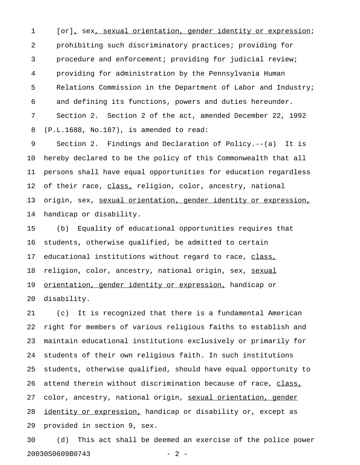1 [or], sex, sexual orientation, gender identity or expression; 2 prohibiting such discriminatory practices; providing for 3 procedure and enforcement; providing for judicial review; 4 providing for administration by the Pennsylvania Human 5 Relations Commission in the Department of Labor and Industry; 6 and defining its functions, powers and duties hereunder. 7 Section 2. Section 2 of the act, amended December 22, 1992 8 (P.L.1688, No.187), is amended to read:

9 Section 2. Findings and Declaration of Policy.--(a) It is 10 hereby declared to be the policy of this Commonwealth that all 11 persons shall have equal opportunities for education regardless 12 of their race, class, religion, color, ancestry, national 13 origin, sex, sexual orientation, gender identity or expression, 14 handicap or disability.

15 (b) Equality of educational opportunities requires that 16 students, otherwise qualified, be admitted to certain 17 educational institutions without regard to race, class, 18 religion, color, ancestry, national origin, sex, sexual 19 orientation, gender identity or expression, handicap or 20 disability.

21 (c) It is recognized that there is a fundamental American 22 right for members of various religious faiths to establish and 23 maintain educational institutions exclusively or primarily for 24 students of their own religious faith. In such institutions 25 students, otherwise qualified, should have equal opportunity to 26 attend therein without discrimination because of race, class, 27 color, ancestry, national origin, sexual orientation, gender 28 identity or expression, handicap or disability or, except as 29 provided in section 9, sex.

30 (d) This act shall be deemed an exercise of the police power 20030S0609B0743 - 2 -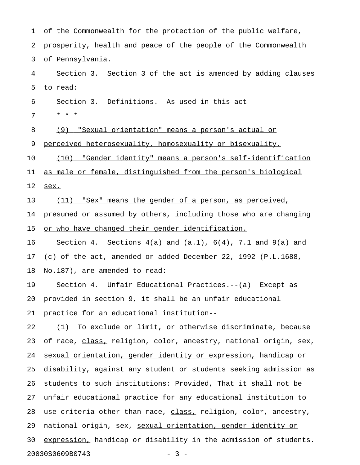| 1  | of the Commonwealth for the protection of the public welfare,        |
|----|----------------------------------------------------------------------|
| 2  | prosperity, health and peace of the people of the Commonwealth       |
| 3  | of Pennsylvania.                                                     |
| 4  | Section 3. Section 3 of the act is amended by adding clauses         |
| 5  | to read:                                                             |
| 6  | Section 3. Definitions. -- As used in this act--                     |
| 7  | * * *                                                                |
| 8  | (9)<br><u>"Sexual orientation" means a person's actual or</u>        |
| 9  | perceived heterosexuality, homosexuality or bisexuality.             |
| 10 | (10) "Gender identity" means a person's self-identification          |
| 11 | as male or female, distinguished from the person's biological        |
| 12 | sex.                                                                 |
| 13 | (11) "Sex" means the gender of a person, as perceived,               |
| 14 | presumed or assumed by others, including those who are changing      |
| 15 | or who have changed their gender identification.                     |
| 16 | Section 4. Sections $4(a)$ and $(a.1)$ , $6(4)$ , 7.1 and $9(a)$ and |
| 17 | (c) of the act, amended or added December 22, 1992 (P.L.1688,        |
| 18 | No.187), are amended to read:                                        |
| 19 | Section 4. Unfair Educational Practices.--(a) Except as              |
|    | 20 provided in section 9, it shall be an unfair educational          |
| 21 | practice for an educational institution--                            |
| 22 | (1) To exclude or limit, or otherwise discriminate, because          |
| 23 | of race, class, religion, color, ancestry, national origin, sex,     |
| 24 | sexual orientation, gender identity or expression, handicap or       |
| 25 | disability, against any student or students seeking admission as     |
| 26 | students to such institutions: Provided, That it shall not be        |
| 27 | unfair educational practice for any educational institution to       |
| 28 | use criteria other than race, class, religion, color, ancestry,      |
| 29 | national origin, sex, sexual orientation, gender identity or         |
| 30 | expression, handicap or disability in the admission of students.     |
|    | 20030S0609B0743<br>$-3 -$                                            |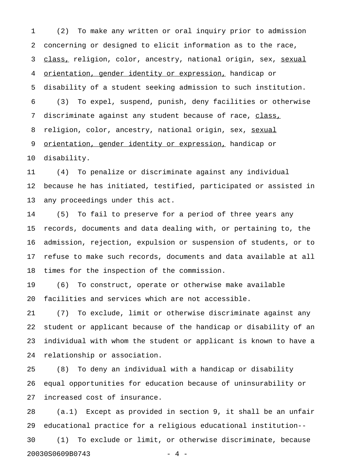1 (2) To make any written or oral inquiry prior to admission 2 concerning or designed to elicit information as to the race, 3 class, religion, color, ancestry, national origin, sex, sexual 4 orientation, gender identity or expression, handicap or 5 disability of a student seeking admission to such institution. 6 (3) To expel, suspend, punish, deny facilities or otherwise 7 discriminate against any student because of race, class, 8 religion, color, ancestry, national origin, sex, sexual 9 orientation, gender identity or expression, handicap or 10 disability.

11 (4) To penalize or discriminate against any individual 12 because he has initiated, testified, participated or assisted in 13 any proceedings under this act.

14 (5) To fail to preserve for a period of three years any 15 records, documents and data dealing with, or pertaining to, the 16 admission, rejection, expulsion or suspension of students, or to 17 refuse to make such records, documents and data available at all 18 times for the inspection of the commission.

19 (6) To construct, operate or otherwise make available 20 facilities and services which are not accessible.

21 (7) To exclude, limit or otherwise discriminate against any 22 student or applicant because of the handicap or disability of an 23 individual with whom the student or applicant is known to have a 24 relationship or association.

25 (8) To deny an individual with a handicap or disability 26 equal opportunities for education because of uninsurability or 27 increased cost of insurance.

28 (a.1) Except as provided in section 9, it shall be an unfair 29 educational practice for a religious educational institution-- 30 (1) To exclude or limit, or otherwise discriminate, because 20030S0609B0743 - 4 -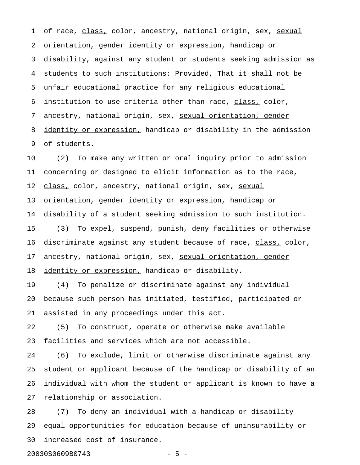1 of race, class, color, ancestry, national origin, sex, sexual 2 orientation, gender identity or expression, handicap or 3 disability, against any student or students seeking admission as 4 students to such institutions: Provided, That it shall not be 5 unfair educational practice for any religious educational 6 institution to use criteria other than race, class, color, 7 ancestry, national origin, sex, sexual orientation, gender 8 identity or expression, handicap or disability in the admission 9 of students.

10 (2) To make any written or oral inquiry prior to admission 11 concerning or designed to elicit information as to the race, 12 class, color, ancestry, national origin, sex, sexual 13 orientation, gender identity or expression, handicap or 14 disability of a student seeking admission to such institution. 15 (3) To expel, suspend, punish, deny facilities or otherwise 16 discriminate against any student because of race, class, color, 17 ancestry, national origin, sex, sexual orientation, gender 18 identity or expression, handicap or disability.

19 (4) To penalize or discriminate against any individual 20 because such person has initiated, testified, participated or 21 assisted in any proceedings under this act.

22 (5) To construct, operate or otherwise make available 23 facilities and services which are not accessible.

24 (6) To exclude, limit or otherwise discriminate against any 25 student or applicant because of the handicap or disability of an 26 individual with whom the student or applicant is known to have a 27 relationship or association.

28 (7) To deny an individual with a handicap or disability 29 equal opportunities for education because of uninsurability or 30 increased cost of insurance.

20030S0609B0743 - 5 -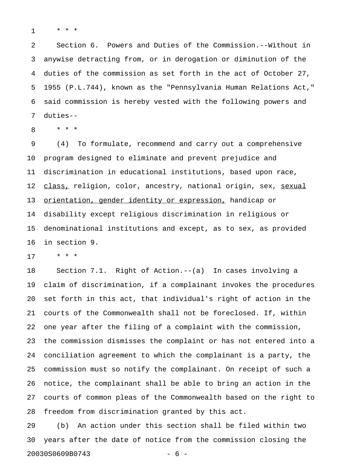1 \* \* \*

2 Section 6. Powers and Duties of the Commission.--Without in 3 anywise detracting from, or in derogation or diminution of the 4 duties of the commission as set forth in the act of October 27, 5 1955 (P.L.744), known as the "Pennsylvania Human Relations Act," 6 said commission is hereby vested with the following powers and 7 duties--

8 \* \* \*

9 (4) To formulate, recommend and carry out a comprehensive 10 program designed to eliminate and prevent prejudice and 11 discrimination in educational institutions, based upon race, 12 class, religion, color, ancestry, national origin, sex, sexual 13 orientation, gender identity or expression, handicap or 14 disability except religious discrimination in religious or 15 denominational institutions and except, as to sex, as provided 16 in section 9.

17 \* \* \*

18 Section 7.1. Right of Action.--(a) In cases involving a 19 claim of discrimination, if a complainant invokes the procedures 20 set forth in this act, that individual's right of action in the 21 courts of the Commonwealth shall not be foreclosed. If, within 22 one year after the filing of a complaint with the commission, 23 the commission dismisses the complaint or has not entered into a 24 conciliation agreement to which the complainant is a party, the 25 commission must so notify the complainant. On receipt of such a 26 notice, the complainant shall be able to bring an action in the 27 courts of common pleas of the Commonwealth based on the right to 28 freedom from discrimination granted by this act.

29 (b) An action under this section shall be filed within two 30 years after the date of notice from the commission closing the 20030S0609B0743 - 6 -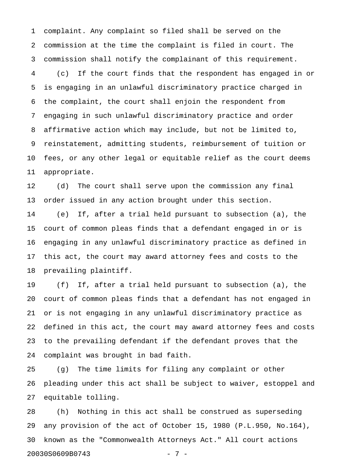1 complaint. Any complaint so filed shall be served on the 2 commission at the time the complaint is filed in court. The 3 commission shall notify the complainant of this requirement. 4 (c) If the court finds that the respondent has engaged in or 5 is engaging in an unlawful discriminatory practice charged in 6 the complaint, the court shall enjoin the respondent from 7 engaging in such unlawful discriminatory practice and order 8 affirmative action which may include, but not be limited to, 9 reinstatement, admitting students, reimbursement of tuition or 10 fees, or any other legal or equitable relief as the court deems 11 appropriate.

12 (d) The court shall serve upon the commission any final 13 order issued in any action brought under this section.

14 (e) If, after a trial held pursuant to subsection (a), the 15 court of common pleas finds that a defendant engaged in or is 16 engaging in any unlawful discriminatory practice as defined in 17 this act, the court may award attorney fees and costs to the 18 prevailing plaintiff.

19 (f) If, after a trial held pursuant to subsection (a), the 20 court of common pleas finds that a defendant has not engaged in 21 or is not engaging in any unlawful discriminatory practice as 22 defined in this act, the court may award attorney fees and costs 23 to the prevailing defendant if the defendant proves that the 24 complaint was brought in bad faith.

25 (g) The time limits for filing any complaint or other 26 pleading under this act shall be subject to waiver, estoppel and 27 equitable tolling.

28 (h) Nothing in this act shall be construed as superseding 29 any provision of the act of October 15, 1980 (P.L.950, No.164), 30 known as the "Commonwealth Attorneys Act." All court actions 20030S0609B0743 - 7 -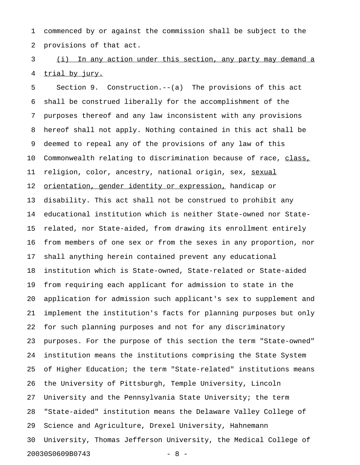1 commenced by or against the commission shall be subject to the 2 provisions of that act.

3 (i) In any action under this section, any party may demand a 4 trial by jury.

5 Section 9. Construction.--(a) The provisions of this act 6 shall be construed liberally for the accomplishment of the 7 purposes thereof and any law inconsistent with any provisions 8 hereof shall not apply. Nothing contained in this act shall be 9 deemed to repeal any of the provisions of any law of this 10 Commonwealth relating to discrimination because of race, class, 11 religion, color, ancestry, national origin, sex, sexual 12 <u>orientation, gender identity or expression,</u> handicap or 13 disability. This act shall not be construed to prohibit any 14 educational institution which is neither State-owned nor State-15 related, nor State-aided, from drawing its enrollment entirely 16 from members of one sex or from the sexes in any proportion, nor 17 shall anything herein contained prevent any educational 18 institution which is State-owned, State-related or State-aided 19 from requiring each applicant for admission to state in the 20 application for admission such applicant's sex to supplement and 21 implement the institution's facts for planning purposes but only 22 for such planning purposes and not for any discriminatory 23 purposes. For the purpose of this section the term "State-owned" 24 institution means the institutions comprising the State System 25 of Higher Education; the term "State-related" institutions means 26 the University of Pittsburgh, Temple University, Lincoln 27 University and the Pennsylvania State University; the term 28 "State-aided" institution means the Delaware Valley College of 29 Science and Agriculture, Drexel University, Hahnemann 30 University, Thomas Jefferson University, the Medical College of 20030S0609B0743 - 8 -